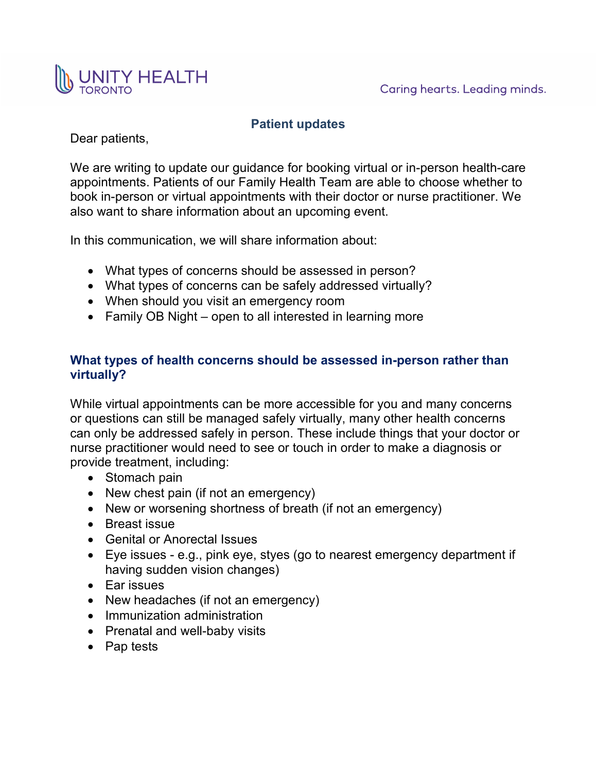

# **Patient updates**

Dear patients,

We are writing to update our guidance for booking virtual or in-person health-care appointments. Patients of our Family Health Team are able to choose whether to book in-person or virtual appointments with their doctor or nurse practitioner. We also want to share information about an upcoming event.

In this communication, we will share information about:

- What types of concerns should be assessed in person?
- What types of concerns can be safely addressed virtually?
- When should you visit an emergency room
- Family OB Night open to all interested in learning more

## **What types of health concerns should be assessed in-person rather than virtually?**

While virtual appointments can be more accessible for you and many concerns or questions can still be managed safely virtually, many other health concerns can only be addressed safely in person. These include things that your doctor or nurse practitioner would need to see or touch in order to make a diagnosis or provide treatment, including:

- Stomach pain
- New chest pain (if not an emergency)
- New or worsening shortness of breath (if not an emergency)
- Breast issue
- Genital or Anorectal Issues
- Eye issues e.g., pink eye, styes (go to nearest emergency department if having sudden vision changes)
- Ear issues
- New headaches (if not an emergency)
- Immunization administration
- Prenatal and well-baby visits
- Pap tests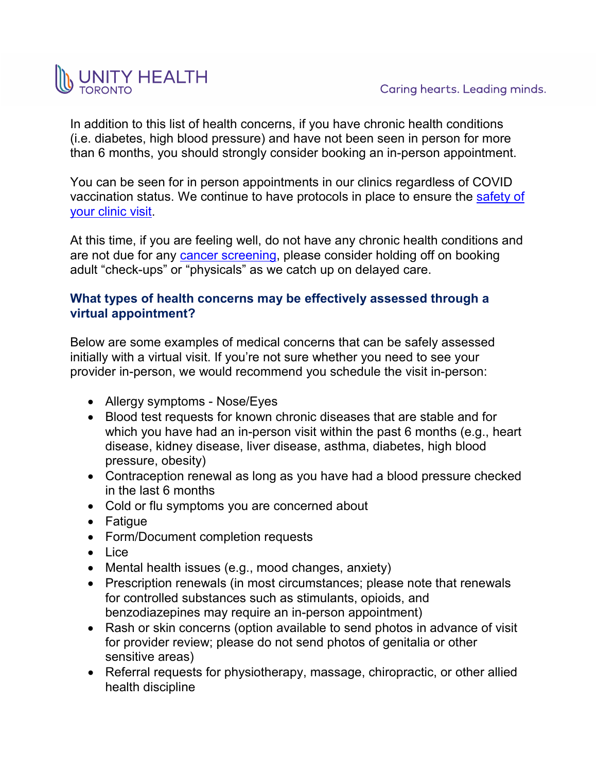

In addition to this list of health concerns, if you have chronic health conditions (i.e. diabetes, high blood pressure) and have not been seen in person for more than 6 months, you should strongly consider booking an in-person appointment.

You can be seen for in person appointments in our clinics regardless of COVID vaccination status. We continue to have protocols in place to ensure the [safety of](https://unityhealth.to/wp-content/uploads/2021/02/smhafht-220401.pdf)  [your clinic visit.](https://unityhealth.to/wp-content/uploads/2021/02/smhafht-220401.pdf)

At this time, if you are feeling well, do not have any chronic health conditions and are not due for any [cancer screening,](https://www.cancercareontario.ca/en/covid19-cancer/screening-during-covid-19) please consider holding off on booking adult "check-ups" or "physicals" as we catch up on delayed care.

### **What types of health concerns may be effectively assessed through a [virtual appointment?](https://unityhealth.to/wp-content/uploads/2021/02/smhafht-211022.pdf)**

Below are some examples of medical concerns that can be safely assessed initially with a virtual visit. If you're not sure whether you need to see your provider in-person, we would recommend you schedule the visit in-person:

- Allergy symptoms Nose/Eyes
- Blood test requests for known chronic diseases that are stable and for which you have had an in-person visit within the past 6 months (e.g., heart disease, kidney disease, liver disease, asthma, diabetes, high blood pressure, obesity)
- Contraception renewal as long as you have had a blood pressure checked in the last 6 months
- Cold or flu symptoms you are concerned about
- Fatigue
- Form/Document completion requests
- Lice
- Mental health issues (e.g., mood changes, anxiety)
- Prescription renewals (in most circumstances; please note that renewals for controlled substances such as stimulants, opioids, and benzodiazepines may require an in-person appointment)
- Rash or skin concerns (option available to send photos in advance of visit for provider review; please do not send photos of genitalia or other sensitive areas)
- Referral requests for physiotherapy, massage, chiropractic, or other allied health discipline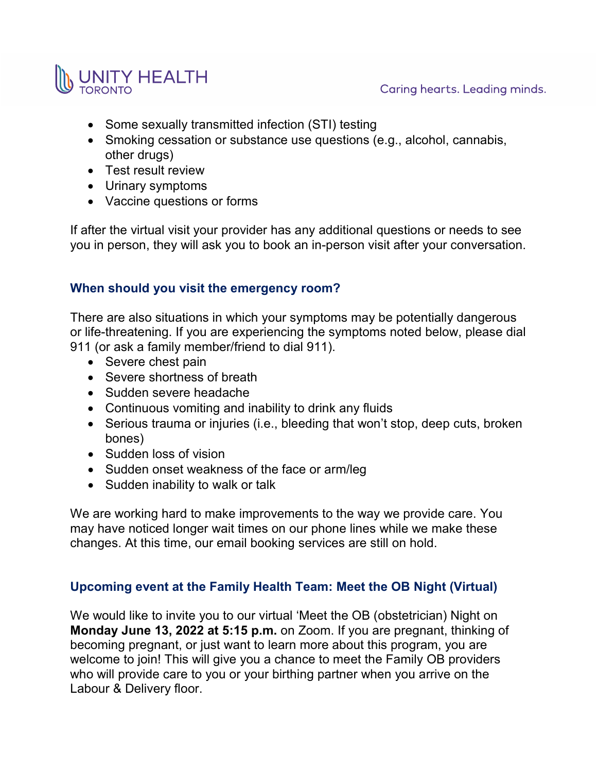

- Some sexually transmitted infection (STI) testing
- Smoking cessation or substance use questions (e.g., alcohol, cannabis, other drugs)
- Test result review
- Urinary symptoms
- Vaccine questions or forms

If after the virtual visit your provider has any additional questions or needs to see you in person, they will ask you to book an in-person visit after your conversation.

#### **When should you visit the emergency room?**

There are also situations in which your symptoms may be potentially dangerous or life-threatening. If you are experiencing the symptoms noted below, please dial 911 (or ask a family member/friend to dial 911).

- Severe chest pain
- Severe shortness of breath
- Sudden severe headache
- Continuous vomiting and inability to drink any fluids
- Serious trauma or injuries (i.e., bleeding that won't stop, deep cuts, broken bones)
- Sudden loss of vision
- Sudden onset weakness of the face or arm/leg
- Sudden inability to walk or talk

We are working hard to make improvements to the way we provide care. You may have noticed longer wait times on our phone lines while we make these changes. At this time, our email booking services are still on hold.

## **Upcoming event at the Family Health Team: Meet the OB Night (Virtual)**

We would like to invite you to our virtual 'Meet the OB (obstetrician) Night on **Monday June 13, 2022 at 5:15 p.m.** on Zoom. If you are pregnant, thinking of becoming pregnant, or just want to learn more about this program, you are welcome to join! This will give you a chance to meet the Family OB providers who will provide care to you or your birthing partner when you arrive on the Labour & Delivery floor.